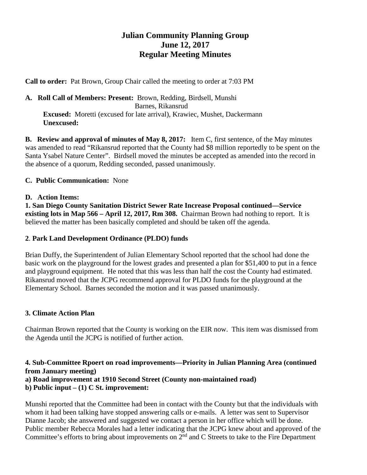# **Julian Community Planning Group June 12, 2017 Regular Meeting Minutes**

**Call to order:** Pat Brown, Group Chair called the meeting to order at 7:03 PM

**A. Roll Call of Members: Present:** Brown, Redding, Birdsell, Munshi Barnes, Rikansrud **Excused:** Moretti (excused for late arrival), Krawiec, Mushet, Dackermann  **Unexcused:** 

**B. Review and approval of minutes of May 8, 2017:** Item C, first sentence, of the May minutes was amended to read "Rikansrud reported that the County had \$8 million reportedly to be spent on the Santa Ysabel Nature Center". Birdsell moved the minutes be accepted as amended into the record in the absence of a quorum, Redding seconded, passed unanimously.

## **C. Public Communication:** None

## **D. Action Items:**

**1. San Diego County Sanitation District Sewer Rate Increase Proposal continued—Service existing lots in Map 566 – April 12, 2017, Rm 308.** Chairman Brown had nothing to report. It is believed the matter has been basically completed and should be taken off the agenda.

#### **2**. **Park Land Development Ordinance (PLDO) funds**

Brian Duffy, the Superintendent of Julian Elementary School reported that the school had done the basic work on the playground for the lowest grades and presented a plan for \$51,400 to put in a fence and playground equipment. He noted that this was less than half the cost the County had estimated. Rikansrud moved that the JCPG recommend approval for PLDO funds for the playground at the Elementary School. Barnes seconded the motion and it was passed unanimously.

# **3. Climate Action Plan**

Chairman Brown reported that the County is working on the EIR now. This item was dismissed from the Agenda until the JCPG is notified of further action.

# **4. Sub-Committee Rpoert on road improvements—Priority in Julian Planning Area (continued from January meeting)**

**a) Road improvement at 1910 Second Street (County non-maintained road)**

# **b) Public input – (1) C St. improvement:**

Munshi reported that the Committee had been in contact with the County but that the individuals with whom it had been talking have stopped answering calls or e-mails. A letter was sent to Supervisor Dianne Jacob; she answered and suggested we contact a person in her office which will be done. Public member Rebecca Morales had a letter indicating that the JCPG knew about and approved of the Committee's efforts to bring about improvements on  $2^{nd}$  and C Streets to take to the Fire Department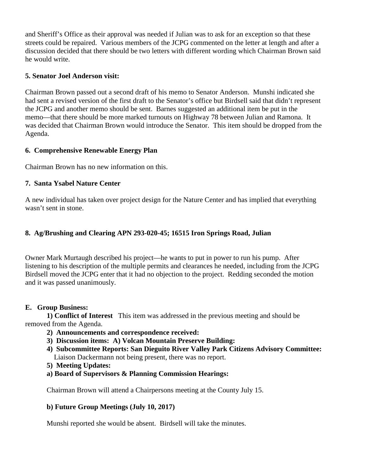and Sheriff's Office as their approval was needed if Julian was to ask for an exception so that these streets could be repaired. Various members of the JCPG commented on the letter at length and after a discussion decided that there should be two letters with different wording which Chairman Brown said he would write.

#### **5. Senator Joel Anderson visit:**

Chairman Brown passed out a second draft of his memo to Senator Anderson. Munshi indicated she had sent a revised version of the first draft to the Senator's office but Birdsell said that didn't represent the JCPG and another memo should be sent. Barnes suggested an additional item be put in the memo—that there should be more marked turnouts on Highway 78 between Julian and Ramona. It was decided that Chairman Brown would introduce the Senator. This item should be dropped from the Agenda.

## **6. Comprehensive Renewable Energy Plan**

Chairman Brown has no new information on this.

# **7. Santa Ysabel Nature Center**

A new individual has taken over project design for the Nature Center and has implied that everything wasn't sent in stone.

## **8. Ag/Brushing and Clearing APN 293-020-45; 16515 Iron Springs Road, Julian**

Owner Mark Murtaugh described his project—he wants to put in power to run his pump. After listening to his description of the multiple permits and clearances he needed, including from the JCPG Birdsell moved the JCPG enter that it had no objection to the project. Redding seconded the motion and it was passed unanimously.

#### **E. Group Business:**

 **1) Conflict of Interest** This item was addressed in the previous meeting and should be removed from the Agenda.

- **2) Announcements and correspondence received:**
- **3) Discussion items: A) Volcan Mountain Preserve Building:**
- **4) Subcommittee Reports: San Dieguito River Valley Park Citizens Advisory Committee:** Liaison Dackermann not being present, there was no report.
- **5) Meeting Updates:**
- **a) Board of Supervisors & Planning Commission Hearings:**

Chairman Brown will attend a Chairpersons meeting at the County July 15.

#### **b) Future Group Meetings (July 10, 2017)**

Munshi reported she would be absent. Birdsell will take the minutes.